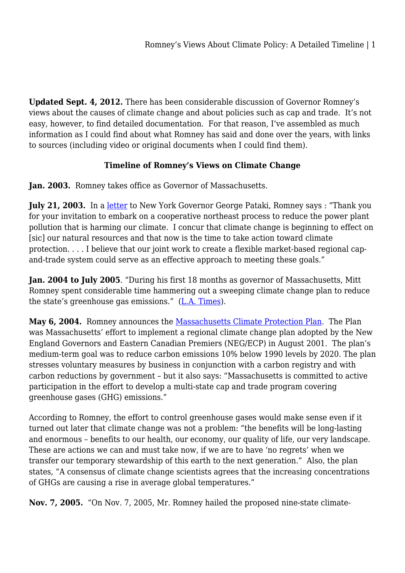**Updated Sept. 4, 2012.** There has been considerable discussion of Governor Romney's views about the causes of climate change and about policies such as cap and trade. It's not easy, however, to find detailed documentation. For that reason, I've assembled as much information as I could find about what Romney has said and done over the years, with links to sources (including video or original documents when I could find them).

## **Timeline of Romney's Views on Climate Change**

**Jan. 2003.** Romney takes office as Governor of Massachusetts.

July 21, 2003. In a [letter](http://thinkprogress.org/wp-content/uploads/2012/04/Letter-from-Romney-to-Pataki-RGGI.pdf) to New York Governor George Pataki, Romney says : "Thank you for your invitation to embark on a cooperative northeast process to reduce the power plant pollution that is harming our climate. I concur that climate change is beginning to effect on [sic] our natural resources and that now is the time to take action toward climate protection. . . . I believe that our joint work to create a flexible market-based regional capand-trade system could serve as an effective approach to meeting these goals."

**Jan. 2004 to July 2005**. "During his first 18 months as governor of Massachusetts, Mitt Romney spent considerable time hammering out a sweeping climate change plan to reduce the state's greenhouse gas emissions." ([L.A. Times\)](http://articles.latimes.com/2012/jun/13/nation/la-na-romney-energy-20120613).

May 6, 2004. Romney announces the [Massachusetts Climate Protection Plan](http://www.newamerica.net/files/MAClimateProtPlan0504.pdf). The Plan was Massachusetts' effort to implement a regional climate change plan adopted by the New England Governors and Eastern Canadian Premiers (NEG/ECP) in August 2001. The plan's medium-term goal was to reduce carbon emissions 10% below 1990 levels by 2020. The plan stresses voluntary measures by business in conjunction with a carbon registry and with carbon reductions by government – but it also says: "Massachusetts is committed to active participation in the effort to develop a multi-state cap and trade program covering greenhouse gases (GHG) emissions."

According to Romney, the effort to control greenhouse gases would make sense even if it turned out later that climate change was not a problem: "the benefits will be long-lasting and enormous – benefits to our health, our economy, our quality of life, our very landscape. These are actions we can and must take now, if we are to have 'no regrets' when we transfer our temporary stewardship of this earth to the next generation." Also, the plan states, "A consensus of climate change scientists agrees that the increasing concentrations of GHGs are causing a rise in average global temperatures."

**Nov. 7, 2005.** "On Nov. 7, 2005, Mr. Romney hailed the proposed nine-state climate-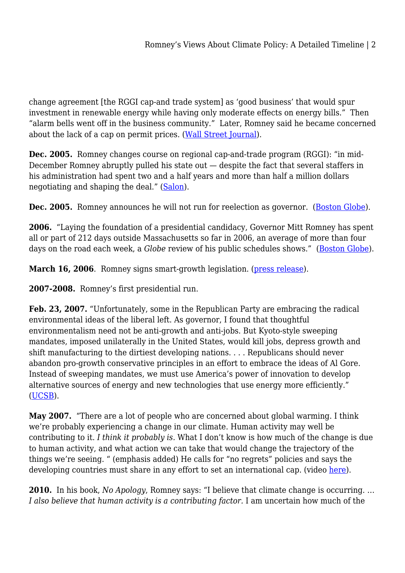change agreement [the RGGI cap-and trade system] as 'good business' that would spur investment in renewable energy while having only moderate effects on energy bills." Then "alarm bells went off in the business community." Later, Romney said he became concerned about the lack of a cap on permit prices. [\(Wall Street Journal](http://online.wsj.com/article/SB10001424052970204505304577004352121240264.html)).

**Dec. 2005.** Romney changes course on regional cap-and-trade program (RGGI): "in mid-December Romney abruptly pulled his state out — despite the fact that several staffers in his administration had spent two and a half years and more than half a million dollars negotiating and shaping the deal." ([Salon\)](http://www.salon.com/2006/01/28/muckraker_29/).

**Dec. 2005.** Romney announces he will not run for reelection as governor. [\(Boston Globe](http://www.boston.com/news/local/massachusetts/articles/2005/12/14/romney_to_announce_he_wont_seek_re_election/)).

**2006.** "Laying the foundation of a presidential candidacy, Governor Mitt Romney has spent all or part of 212 days outside Massachusetts so far in 2006, an average of more than four days on the road each week, a *Globe* review of his public schedules shows." [\(Boston Globe](http://www.boston.com/news/local/articles/2006/12/24/romney_left_mass_on_212_days_in_06/)).

March 16, 2006. Romney signs smart-growth legislation. ([press release](http://myclob.pbworks.com/w/page/21955991/03-16-2006)).

**2007-2008.** Romney's first presidential run.

**Feb. 23, 2007.** "Unfortunately, some in the Republican Party are embracing the radical environmental ideas of the liberal left. As governor, I found that thoughtful environmentalism need not be anti-growth and anti-jobs. But Kyoto-style sweeping mandates, imposed unilaterally in the United States, would kill jobs, depress growth and shift manufacturing to the dirtiest developing nations. . . . Republicans should never abandon pro-growth conservative principles in an effort to embrace the ideas of Al Gore. Instead of sweeping mandates, we must use America's power of innovation to develop alternative sources of energy and new technologies that use energy more efficiently." ([UCSB](http://www.presidency.ucsb.edu/ws/index.php?pid=95678)).

**May 2007.** "There are a lot of people who are concerned about global warming. I think we're probably experiencing a change in our climate. Human activity may well be contributing to it. *I think it probably is.* What I don't know is how much of the change is due to human activity, and what action we can take that would change the trajectory of the things we're seeing. " (emphasis added) He calls for "no regrets" policies and says the developing countries must share in any effort to set an international cap. (video [here\)](http://www.youtube.com/watch?v=vnryDuV9_SI&feature=player_embedded).

**2010.** In his book, *No Apology*, Romney says: "I believe that climate change is occurring. … *I also believe that human activity is a contributing factor.* I am uncertain how much of the